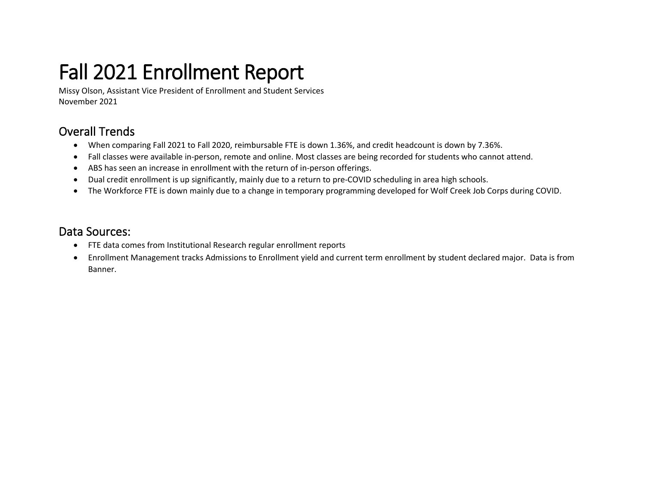# Fall 2021 Enrollment Report

Missy Olson, Assistant Vice President of Enrollment and Student Services November 2021

### Overall Trends

- When comparing Fall 2021 to Fall 2020, reimbursable FTE is down 1.36%, and credit headcount is down by 7.36%.
- Fall classes were available in-person, remote and online. Most classes are being recorded for students who cannot attend.
- ABS has seen an increase in enrollment with the return of in-person offerings.
- Dual credit enrollment is up significantly, mainly due to a return to pre-COVID scheduling in area high schools.
- The Workforce FTE is down mainly due to a change in temporary programming developed for Wolf Creek Job Corps during COVID.

### Data Sources:

- FTE data comes from Institutional Research regular enrollment reports
- Enrollment Management tracks Admissions to Enrollment yield and current term enrollment by student declared major. Data is from Banner.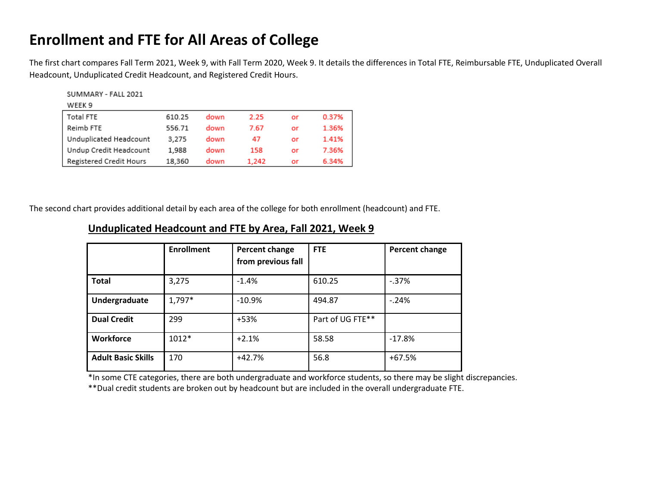### **Enrollment and FTE for All Areas of College**

The first chart compares Fall Term 2021, Week 9, with Fall Term 2020, Week 9. It details the differences in Total FTE, Reimbursable FTE, Unduplicated Overall Headcount, Unduplicated Credit Headcount, and Registered Credit Hours.

| SUMMARY - FALL 2021     |        |      |       |    |       |
|-------------------------|--------|------|-------|----|-------|
| WEEK 9                  |        |      |       |    |       |
| <b>Total FTE</b>        | 610.25 | down | 2.25  | or | 0.37% |
| Reimb FTE               | 556.71 | down | 7.67  | or | 1.36% |
| Unduplicated Headcount  | 3.275  | down | 47    | or | 1.41% |
| Undup Credit Headcount  | 1.988  | down | 158   | or | 7.36% |
| Registered Credit Hours | 18.360 | down | 1.242 | or | 6.34% |

The second chart provides additional detail by each area of the college for both enrollment (headcount) and FTE.

|                           | <b>Enrollment</b> | Percent change<br>from previous fall | <b>FTE</b>       | Percent change |  |
|---------------------------|-------------------|--------------------------------------|------------------|----------------|--|
| <b>Total</b>              | 3,275             | $-1.4%$                              | 610.25           | $-.37%$        |  |
| Undergraduate             | 1,797*            | $-10.9%$                             | 494.87           | $-.24%$        |  |
| <b>Dual Credit</b>        | 299               | +53%                                 | Part of UG FTE** |                |  |
| Workforce                 | 1012*             | $+2.1%$                              | 58.58            | $-17.8%$       |  |
| <b>Adult Basic Skills</b> | 170               | $+42.7%$                             | 56.8             | $+67.5%$       |  |

#### **Unduplicated Headcount and FTE by Area, Fall 2021, Week 9**

\*In some CTE categories, there are both undergraduate and workforce students, so there may be slight discrepancies.

\*\*Dual credit students are broken out by headcount but are included in the overall undergraduate FTE.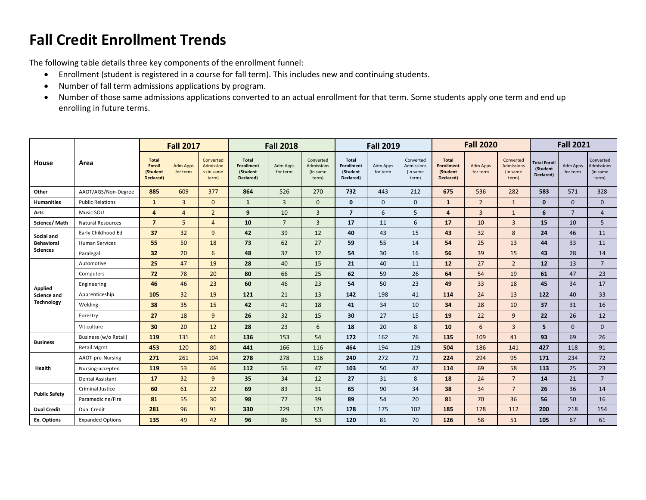## **Fall Credit Enrollment Trends**

The following table details three key components of the enrollment funnel:

- Enrollment (student is registered in a course for fall term). This includes new and continuing students.
- Number of fall term admissions applications by program.
- Number of those same admissions applications converted to an actual enrollment for that term. Some students apply one term and end up enrolling in future terms.

|                              |                          | <b>Fall 2017</b>                                       |                             | <b>Fall 2018</b>                                     |                                                            | <b>Fall 2019</b>     |                                              |                                                            | <b>Fall 2020</b>            |                                              |                                                            | <b>Fall 2021</b>            |                                                     |                                              |                      |                                              |
|------------------------------|--------------------------|--------------------------------------------------------|-----------------------------|------------------------------------------------------|------------------------------------------------------------|----------------------|----------------------------------------------|------------------------------------------------------------|-----------------------------|----------------------------------------------|------------------------------------------------------------|-----------------------------|-----------------------------------------------------|----------------------------------------------|----------------------|----------------------------------------------|
| House                        | Area                     | <b>Total</b><br><b>Enroll</b><br>(Student<br>Declared) | <b>Adm Apps</b><br>for term | Converted<br><b>Admission</b><br>s (in same<br>term) | <b>Total</b><br><b>Enrollment</b><br>(Student<br>Declared) | Adm Apps<br>for term | Converted<br>Admissions<br>(in same<br>term) | <b>Total</b><br><b>Enrollment</b><br>(Student<br>Declared) | <b>Adm Apps</b><br>for term | Converted<br>Admissions<br>(in same<br>term) | <b>Total</b><br><b>Enrollment</b><br>(Student<br>Declared) | <b>Adm Apps</b><br>for term | Converted<br><b>Admissions</b><br>(in same<br>term) | <b>Total Enroll</b><br>(Student<br>Declared) | Adm Apps<br>for term | Converted<br>Admissions<br>(in same<br>term) |
| Other                        | AAOT/AGS/Non-Degree      | 885                                                    | 609                         | 377                                                  | 864                                                        | 526                  | 270                                          | 732                                                        | 443                         | 212                                          | 675                                                        | 536                         | 282                                                 | 583                                          | 571                  | 328                                          |
| <b>Humanities</b>            | <b>Public Relations</b>  | $\mathbf{1}$                                           | $\overline{3}$              | $\mathbf{0}$                                         | $\mathbf{1}$                                               | 3                    | $\mathbf{0}$                                 | $\mathbf{0}$                                               | $\mathbf{0}$                | $\mathbf{0}$                                 | $\mathbf{1}$                                               | $\overline{2}$              | $\mathbf{1}$                                        | $\mathbf{0}$                                 | $\mathbf{0}$         | $\mathbf{0}$                                 |
| Arts                         | Music SOU                | $\overline{4}$                                         | $\overline{4}$              | $\overline{2}$                                       | 9                                                          | 10                   | 3                                            | $\overline{7}$                                             | 6                           | 5                                            | $\overline{a}$                                             | 3                           | $\mathbf{1}$                                        | 6                                            | $\overline{7}$       | $\overline{4}$                               |
| Science/Math                 | <b>Natural Resources</b> | $\overline{7}$                                         | 5                           | $\overline{4}$                                       | 10                                                         | $\overline{7}$       | 3                                            | 17                                                         | 11                          | 6                                            | 17                                                         | 10                          | $\overline{3}$                                      | 15                                           | 10                   | 5                                            |
| Social and                   | Early Childhood Ed       | 37                                                     | 32                          | 9                                                    | 42                                                         | 39                   | 12                                           | 40                                                         | 43                          | 15                                           | 43                                                         | 32                          | 8                                                   | 24                                           | 46                   | 11                                           |
| <b>Behavioral</b>            | <b>Human Services</b>    | 55                                                     | 50                          | 18                                                   | 73                                                         | 62                   | 27                                           | 59                                                         | 55                          | 14                                           | 54                                                         | 25                          | 13                                                  | 44                                           | 33                   | 11                                           |
| <b>Sciences</b><br>Paralegal |                          | 32                                                     | 20                          | 6                                                    | 48                                                         | 37                   | 12                                           | 54                                                         | 30                          | 16                                           | 56                                                         | 39                          | 15                                                  | 43                                           | 28                   | 14                                           |
|                              | Automotive               | 25                                                     | 47                          | 19                                                   | 28                                                         | 40                   | 15                                           | 21                                                         | 40                          | 11                                           | 12                                                         | 27                          | $\overline{2}$                                      | 12                                           | 13                   | $7\overline{ }$                              |
|                              | Computers                | 72                                                     | 78                          | 20                                                   | 80                                                         | 66                   | 25                                           | 62                                                         | 59                          | 26                                           | 64                                                         | 54                          | 19                                                  | 61                                           | 47                   | 23                                           |
| <b>Applied</b>               | Engineering              | 46                                                     | 46                          | 23                                                   | 60                                                         | 46                   | 23                                           | 54                                                         | 50                          | 23                                           | 49                                                         | 33                          | 18                                                  | 45                                           | 34                   | 17                                           |
| <b>Science and</b>           | Apprenticeship           | 105                                                    | 32                          | 19                                                   | 121                                                        | 21                   | 13                                           | 142                                                        | 198                         | 41                                           | 114                                                        | 24                          | 13                                                  | 122                                          | 40                   | 33                                           |
| <b>Technology</b>            | Welding                  | 38                                                     | 35                          | 15                                                   | 42                                                         | 41                   | 18                                           | 41                                                         | 34                          | 10                                           | 34                                                         | 28                          | 10                                                  | 37                                           | 31                   | 16                                           |
|                              | Forestry                 | 27                                                     | 18                          | 9                                                    | 26                                                         | 32                   | 15                                           | 30                                                         | 27                          | 15                                           | 19                                                         | 22                          | 9                                                   | 22                                           | 26                   | 12                                           |
|                              | Viticulture              | 30                                                     | 20                          | 12                                                   | 28                                                         | 23                   | 6                                            | 18                                                         | 20                          | 8                                            | 10                                                         | 6                           | $\overline{3}$                                      | 5                                            | $\mathbf{0}$         | $\mathbf{0}$                                 |
|                              | Business (w/o Retail)    | 119                                                    | 131                         | 41                                                   | 136                                                        | 153                  | 54                                           | 172                                                        | 162                         | 76                                           | 135                                                        | 109                         | 41                                                  | 93                                           | 69                   | 26                                           |
| <b>Business</b>              | <b>Retail Mgmt</b>       | 453                                                    | 120                         | 80                                                   | 441                                                        | 166                  | 116                                          | 464                                                        | 194                         | 129                                          | 504                                                        | 186                         | 141                                                 | 427                                          | 118                  | 91                                           |
|                              | AAOT-pre-Nursing         | 271                                                    | 261                         | 104                                                  | 278                                                        | 278                  | 116                                          | 240                                                        | 272                         | 72                                           | 224                                                        | 294                         | 95                                                  | 171                                          | 234                  | 72                                           |
| Health                       | Nursing-accepted         | 119                                                    | 53                          | 46                                                   | 112                                                        | 56                   | 47                                           | 103                                                        | 50                          | 47                                           | 114                                                        | 69                          | 58                                                  | 113                                          | 25                   | 23                                           |
|                              | <b>Dental Assistant</b>  | 17                                                     | 32                          | 9                                                    | 35                                                         | 34                   | 12                                           | 27                                                         | 31                          | 8                                            | 18                                                         | 24                          | $7\overline{ }$                                     | 14                                           | 21                   | $\overline{7}$                               |
| <b>Public Safety</b>         | Criminal Justice         | 60                                                     | 61                          | 22                                                   | 69                                                         | 83                   | 31                                           | 65                                                         | 90                          | 34                                           | 38                                                         | 34                          | $\overline{7}$                                      | 26                                           | 36                   | 14                                           |
|                              | Paramedicine/Fire        | 81                                                     | 55                          | 30                                                   | 98                                                         | 77                   | 39                                           | 89                                                         | 54                          | 20                                           | 81                                                         | 70                          | 36                                                  | 56                                           | 50                   | 16                                           |
| <b>Dual Credit</b>           | Dual Credit              | 281                                                    | 96                          | 91                                                   | 330                                                        | 229                  | 125                                          | 178                                                        | 175                         | 102                                          | 185                                                        | 178                         | 112                                                 | 200                                          | 218                  | 154                                          |
| Ex. Options                  | <b>Expanded Options</b>  | 135                                                    | 49                          | 42                                                   | 96                                                         | 86                   | 53                                           | 120                                                        | 81                          | 70                                           | 126                                                        | 58                          | 51                                                  | 105                                          | 67                   | 61                                           |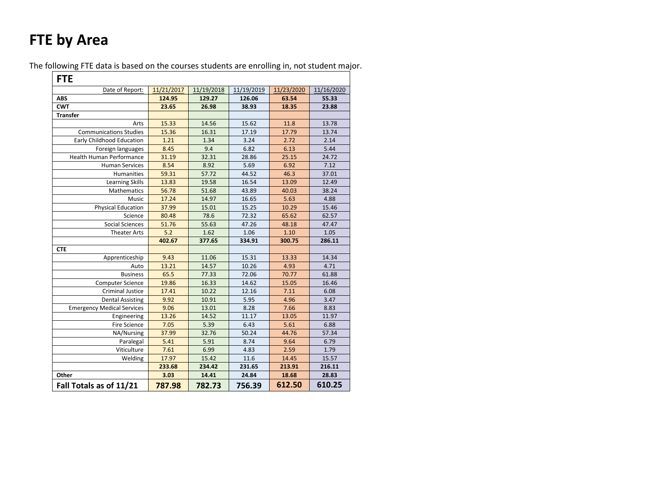# **FTE by Area**

The following FTE data is based on the courses students are enrolling in, not student major.

| <b>FTE</b>                        |            |            |            |            |            |
|-----------------------------------|------------|------------|------------|------------|------------|
| Date of Report:                   | 11/21/2017 | 11/19/2018 | 11/19/2019 | 11/23/2020 | 11/16/2020 |
| <b>ABS</b>                        | 124.95     | 129.27     | 126.06     | 63.54      | 55.33      |
| <b>CWT</b>                        | 23.65      | 26.98      | 38.93      | 18.35      | 23.88      |
| <b>Transfer</b>                   |            |            |            |            |            |
| Arts                              | 15.33      | 14.56      | 15.62      | 11.8       | 13.78      |
| <b>Communications Studies</b>     | 15.36      | 16.31      | 17.19      | 17.79      | 13.74      |
| <b>Early Childhood Education</b>  | 1.21       | 1.34       | 3.24       | 2.72       | 2.14       |
| Foreign languages                 | 8.45       | 9.4        | 6.82       | 6.13       | 5.44       |
| Health Human Performance          | 31.19      | 32.31      | 28.86      | 25.15      | 24.72      |
| <b>Human Services</b>             | 8.54       | 8.92       | 5.69       | 6.92       | 7.12       |
| Humanities                        | 59.31      | 57.72      | 44.52      | 46.3       | 37.01      |
| <b>Learning Skills</b>            | 13.83      | 19.58      | 16.54      | 13.09      | 12.49      |
| Mathematics                       | 56.78      | 51.68      | 43.89      | 40.03      | 38.24      |
| Music                             | 17.24      | 14.97      | 16.65      | 5.63       | 4.88       |
| <b>Physical Education</b>         | 37.99      | 15.01      | 15.25      | 10.29      | 15.46      |
| Science                           | 80.48      | 78.6       | 72.32      | 65.62      | 62.57      |
| <b>Social Sciences</b>            | 51.76      | 55.63      | 47.26      | 48.18      | 47.47      |
| <b>Theater Arts</b>               | 5.2        | 1.62       | 1.06       | 1.10       | 1.05       |
|                                   | 402.67     | 377.65     | 334.91     | 300.75     | 286.11     |
| <b>CTE</b>                        |            |            |            |            |            |
| Apprenticeship                    | 9.43       | 11.06      | 15.31      | 13.33      | 14.34      |
| Auto                              | 13.21      | 14.57      | 10.26      | 4.93       | 4.71       |
| <b>Business</b>                   | 65.5       | 77.33      | 72.06      | 70.77      | 61.88      |
| <b>Computer Science</b>           | 19.86      | 16.33      | 14.62      | 15.05      | 16.46      |
| <b>Criminal Justice</b>           | 17.41      | 10.22      | 12.16      | 7.11       | 6.08       |
| <b>Dental Assisting</b>           | 9.92       | 10.91      | 5.95       | 4.96       | 3.47       |
| <b>Emergency Medical Services</b> | 9.06       | 13.01      | 8.28       | 7.66       | 8.83       |
| Engineering                       | 13.26      | 14.52      | 11.17      | 13.05      | 11.97      |
| <b>Fire Science</b>               | 7.05       | 5.39       | 6.43       | 5.61       | 6.88       |
| NA/Nursing                        | 37.99      | 32.76      | 50.24      | 44.76      | 57.34      |
| Paralegal                         | 5.41       | 5.91       | 8.74       | 9.64       | 6.79       |
| Viticulture                       | 7.61       | 6.99       | 4.83       | 2.59       | 1.79       |
| Welding                           | 17.97      | 15.42      | 11.6       | 14.45      | 15.57      |
|                                   | 233.68     | 234.42     | 231.65     | 213.91     | 216.11     |
| Other                             | 3.03       | 14.41      | 24.84      | 18.68      | 28.83      |
| Fall Totals as of 11/21           | 787.98     | 782.73     | 756.39     | 612.50     | 610.25     |